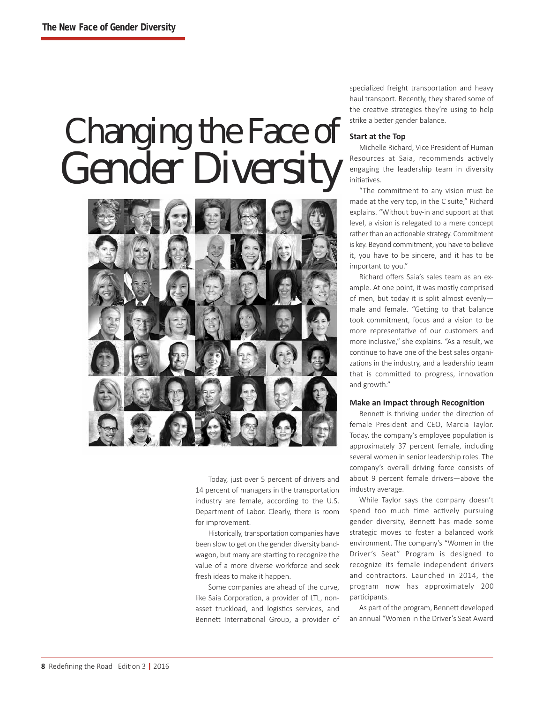# Changing the Face of Gender Diversity



Today, just over 5 percent of drivers and 14 percent of managers in the transportation industry are female, according to the U.S. Department of Labor. Clearly, there is room for improvement.

Historically, transportation companies have been slow to get on the gender diversity bandwagon, but many are starting to recognize the value of a more diverse workforce and seek fresh ideas to make it happen.

Some companies are ahead of the curve, like Saia Corporation, a provider of LTL, nonasset truckload, and logistics services, and Bennett International Group, a provider of specialized freight transportation and heavy haul transport. Recently, they shared some of the creative strategies they're using to help strike a better gender balance.

# **Start at the Top**

Michelle Richard, Vice President of Human Resources at Saia, recommends actively engaging the leadership team in diversity initiatives.

"The commitment to any vision must be made at the very top, in the C suite," Richard explains. "Without buy-in and support at that level, a vision is relegated to a mere concept rather than an actionable strategy. Commitment is key. Beyond commitment, you have to believe it, you have to be sincere, and it has to be important to you."

Richard offers Saia's sales team as an example. At one point, it was mostly comprised of men, but today it is split almost evenly male and female. "Getting to that balance took commitment, focus and a vision to be more representative of our customers and more inclusive," she explains. "As a result, we continue to have one of the best sales organizations in the industry, and a leadership team that is committed to progress, innovation and growth."

## **Make an Impact through Recognition**

Bennett is thriving under the direction of female President and CEO, Marcia Taylor. Today, the company's employee population is approximately 37 percent female, including several women in senior leadership roles. The company's overall driving force consists of about 9 percent female drivers—above the industry average.

While Taylor says the company doesn't spend too much time actively pursuing gender diversity, Bennett has made some strategic moves to foster a balanced work environment. The company's "Women in the Driver's Seat" Program is designed to recognize its female independent drivers and contractors. Launched in 2014, the program now has approximately 200 participants.

As part of the program, Bennett developed an annual "Women in the Driver's Seat Award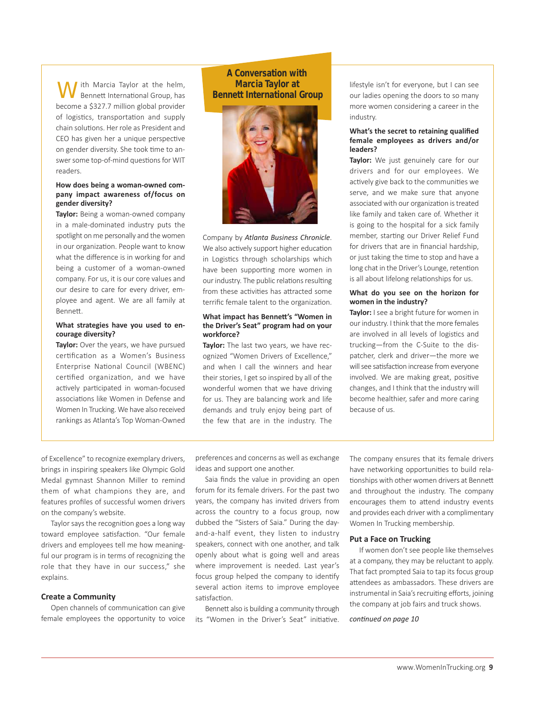With Marcia Taylor at the helm, Bennett International Group, has become a \$327.7 million global provider of logistics, transportation and supply chain solutions. Her role as President and CEO has given her a unique perspective on gender diversity. She took time to answer some top-of-mind questions for WIT readers.

## **How does being a womanowned company impact awareness of/focus on gender diversity?**

Taylor: Being a woman-owned company in a male-dominated industry puts the spotlight on me personally and the women in our organization. People want to know what the difference is in working for and being a customer of a woman-owned company. For us, it is our core values and our desire to care for every driver, employee and agent. We are all family at Bennett.

## **What strategies have you used to encourage diversity?**

**Taylor:** Over the years, we have pursued certification as a Women's Business Enterprise National Council (WBENC) certified organization, and we have actively participated in woman-focused associations like Women in Defense and Women In Trucking. We have also received rankings as Atlanta's Top Woman-Owned

# **A Conversation with Marcia Taylor at Bennett International Group**



Company by *Atlanta Business Chronicle*. We also actively support higher education in Logistics through scholarships which have been supporting more women in our industry. The public relations resulting from these activities has attracted some terrific female talent to the organization.

## **What impact has Bennett's "Women in the Driver's Seat" program had on your workforce?**

**Taylor:** The last two years, we have recognized "Women Drivers of Excellence," and when I call the winners and hear their stories, I get so inspired by all of the wonderful women that we have driving for us. They are balancing work and life demands and truly enjoy being part of the few that are in the industry. The lifestyle isn't for everyone, but I can see our ladies opening the doors to so many more women considering a career in the industry.

## **What's the secret to retaining qualified female employees as drivers and/or leaders?**

**Taylor:** We just genuinely care for our drivers and for our employees. We actively give back to the communities we serve, and we make sure that anyone associated with our organization is treated like family and taken care of. Whether it is going to the hospital for a sick family member, starting our Driver Relief Fund for drivers that are in financial hardship, or just taking the time to stop and have a long chat in the Driver's Lounge, retention is all about lifelong relationships for us.

# **What do you see on the horizon for women in the industry?**

**Taylor:** I see a bright future for women in our industry. I think that the more females are involved in all levels of logistics and trucking—from the C-Suite to the dispatcher, clerk and driver—the more we will see satisfaction increase from everyone involved. We are making great, positive changes, and I think that the industry will become healthier, safer and more caring because of us.

of Excellence" to recognize exemplary drivers, brings in inspiring speakers like Olympic Gold Medal gymnast Shannon Miller to remind them of what champions they are, and features profiles of successful women drivers on the company's website.

Taylor says the recognition goes a long way toward employee satisfaction. "Our female drivers and employees tell me how meaningful our program is in terms of recognizing the role that they have in our success," she explains.

#### **Create a Community**

Open channels of communication can give female employees the opportunity to voice

preferences and concerns as well as exchange ideas and support one another.

Saia finds the value in providing an open forum for its female drivers. For the past two years, the company has invited drivers from across the country to a focus group, now dubbed the "Sisters of Saia." During the dayand-a-half event, they listen to industry speakers, connect with one another, and talk openly about what is going well and areas where improvement is needed. Last year's focus group helped the company to identify several action items to improve employee satisfaction.

Bennett also is building a community through its "Women in the Driver's Seat" initiative. The company ensures that its female drivers have networking opportunities to build relationships with other women drivers at Bennett and throughout the industry. The company encourages them to attend industry events and provides each driver with a complimentary Women In Trucking membership.

#### **Put a Face on Trucking**

If women don't see people like themselves at a company, they may be reluctant to apply. That fact prompted Saia to tap its focus group attendees as ambassadors. These drivers are instrumental in Saia's recruiting efforts, joining the company at job fairs and truck shows.

#### *continued on page 10*